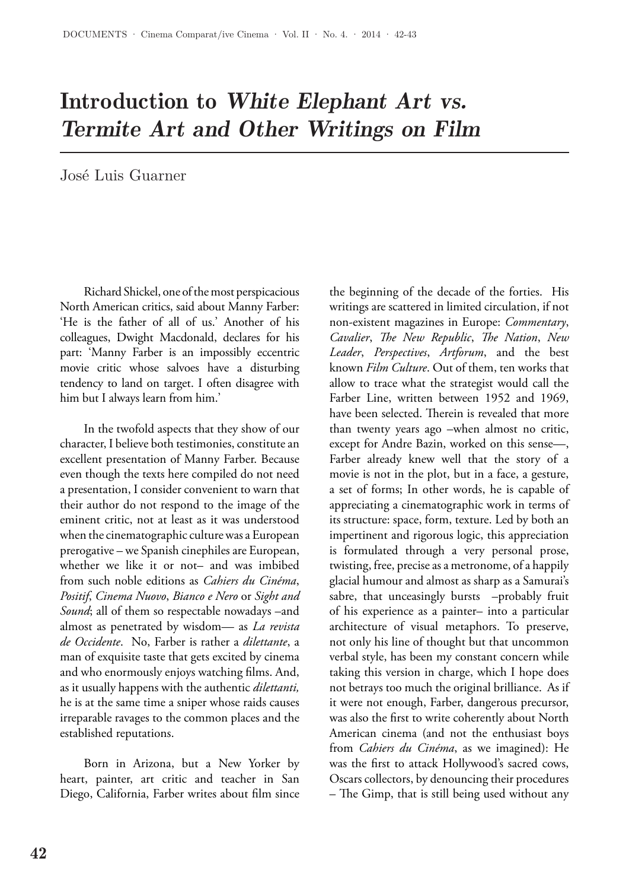## Introduction to *White Elephant Art vs. Termite Art and Other Writings on Film*

José Luis Guarner

Richard Shickel, one of the most perspicacious North American critics, said about Manny Farber: 'He is the father of all of us.' Another of his colleagues, Dwight Macdonald, declares for his part: 'Manny Farber is an impossibly eccentric movie critic whose salvoes have a disturbing tendency to land on target. I often disagree with him but I always learn from him.'

In the twofold aspects that they show of our character, I believe both testimonies, constitute an excellent presentation of Manny Farber. Because even though the texts here compiled do not need a presentation, I consider convenient to warn that their author do not respond to the image of the eminent critic, not at least as it was understood when the cinematographic culture was a European prerogative – we Spanish cinephiles are European, whether we like it or not– and was imbibed from such noble editions as *Cahiers du Cinéma*, *Positif*, *Cinema Nuovo*, *Bianco e Nero* or *Sight and Sound*; all of them so respectable nowadays –and almost as penetrated by wisdom— as *La revista de Occidente*. No, Farber is rather a *dilettante*, a man of exquisite taste that gets excited by cinema and who enormously enjoys watching films. And, as it usually happens with the authentic *dilettanti,*  he is at the same time a sniper whose raids causes irreparable ravages to the common places and the established reputations.

Born in Arizona, but a New Yorker by heart, painter, art critic and teacher in San Diego, California, Farber writes about film since the beginning of the decade of the forties. His writings are scattered in limited circulation, if not non-existent magazines in Europe: *Commentary*, *Cavalier*, *The New Republic*, *The Nation*, *New Leader*, *Perspectives*, *Artforum*, and the best known *Film Culture*. Out of them, ten works that allow to trace what the strategist would call the Farber Line, written between 1952 and 1969, have been selected. Therein is revealed that more than twenty years ago –when almost no critic, except for Andre Bazin, worked on this sense—, Farber already knew well that the story of a movie is not in the plot, but in a face, a gesture, a set of forms; In other words, he is capable of appreciating a cinematographic work in terms of its structure: space, form, texture. Led by both an impertinent and rigorous logic, this appreciation is formulated through a very personal prose, twisting, free, precise as a metronome, of a happily glacial humour and almost as sharp as a Samurai's sabre, that unceasingly bursts –probably fruit of his experience as a painter– into a particular architecture of visual metaphors. To preserve, not only his line of thought but that uncommon verbal style, has been my constant concern while taking this version in charge, which I hope does not betrays too much the original brilliance. As if it were not enough, Farber, dangerous precursor, was also the first to write coherently about North American cinema (and not the enthusiast boys from *Cahiers du Cinéma*, as we imagined): He was the first to attack Hollywood's sacred cows, Oscars collectors, by denouncing their procedures – The Gimp, that is still being used without any